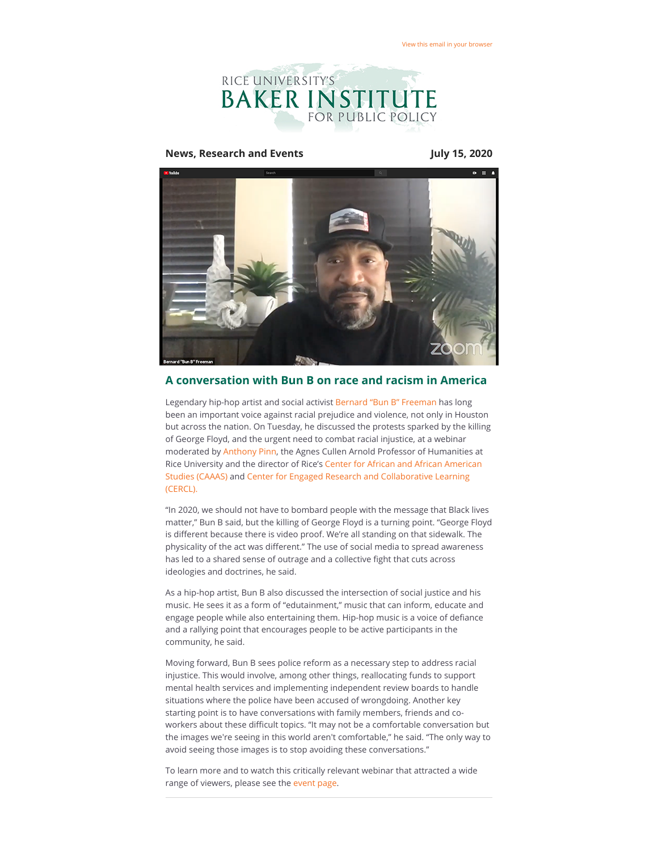

#### **News, Research and Events July 15, 2020**



## **A conversation with Bun B on race and racism in America**

Legendary hip-hop artist and social activist [Bernard "Bun B" Freeman](https://riceconnect.rice.edu/page.redir?target=https%3a%2f%2fwww.visithoustontexas.com%2fabout-houston%2fmy-houston%2fbun-b%2f&srcid=144126&srctid=1&erid=8197c2a1-876e-48bd-a4d1-0d9ffd87d404&trid=8197c2a1-876e-48bd-a4d1-0d9ffd87d404) has long been an important voice against racial prejudice and violence, not only in Houston but across the nation. On Tuesday, he discussed the protests sparked by the killing of George Floyd, and the urgent need to combat racial injustice, at a webinar moderated by [Anthony Pinn](https://riceconnect.rice.edu/page.redir?target=https%3a%2f%2fkinder.rice.edu%2fpeople%2fanthony-b-pinn&srcid=144126&srctid=1&erid=8197c2a1-876e-48bd-a4d1-0d9ffd87d404&trid=8197c2a1-876e-48bd-a4d1-0d9ffd87d404), the Agnes Cullen Arnold Professor of Humanities at [Rice University and the director of Rice's Center for African and African American](https://riceconnect.rice.edu/page.redir?target=https%3a%2f%2fcaaas.rice.edu%2f&srcid=144126&srctid=1&erid=8197c2a1-876e-48bd-a4d1-0d9ffd87d404&trid=8197c2a1-876e-48bd-a4d1-0d9ffd87d404) [Studies \(CAAAS\) and Center for Engaged Research and Collaborative Learning](https://riceconnect.rice.edu/page.redir?target=https%3a%2f%2fwww.cercl.rice.edu%2f&srcid=144126&srctid=1&erid=8197c2a1-876e-48bd-a4d1-0d9ffd87d404&trid=8197c2a1-876e-48bd-a4d1-0d9ffd87d404) (CERCL).

"In 2020, we should not have to bombard people with the message that Black lives matter," Bun B said, but the killing of George Floyd is a turning point. "George Floyd is different because there is video proof. We're all standing on that sidewalk. The physicality of the act was different." The use of social media to spread awareness has led to a shared sense of outrage and a collective fight that cuts across ideologies and doctrines, he said.

As a hip-hop artist, Bun B also discussed the intersection of social justice and his music. He sees it as a form of "edutainment," music that can inform, educate and engage people while also entertaining them. Hip-hop music is a voice of defiance and a rallying point that encourages people to be active participants in the community, he said.

Moving forward, Bun B sees police reform as a necessary step to address racial injustice. This would involve, among other things, reallocating funds to support mental health services and implementing independent review boards to handle situations where the police have been accused of wrongdoing. Another key starting point is to have conversations with family members, friends and coworkers about these difficult topics. "It may not be a comfortable conversation but the images we're seeing in this world aren't comfortable," he said. "The only way to avoid seeing those images is to stop avoiding these conversations."

To learn more and to watch this critically relevant webinar that attracted a wide range of viewers, please see the [event page.](https://riceconnect.rice.edu/page.redir?target=https%3a%2f%2fwww.bakerinstitute.org%2fevents%2f2107%2f&srcid=144126&srctid=1&erid=8197c2a1-876e-48bd-a4d1-0d9ffd87d404&trid=8197c2a1-876e-48bd-a4d1-0d9ffd87d404)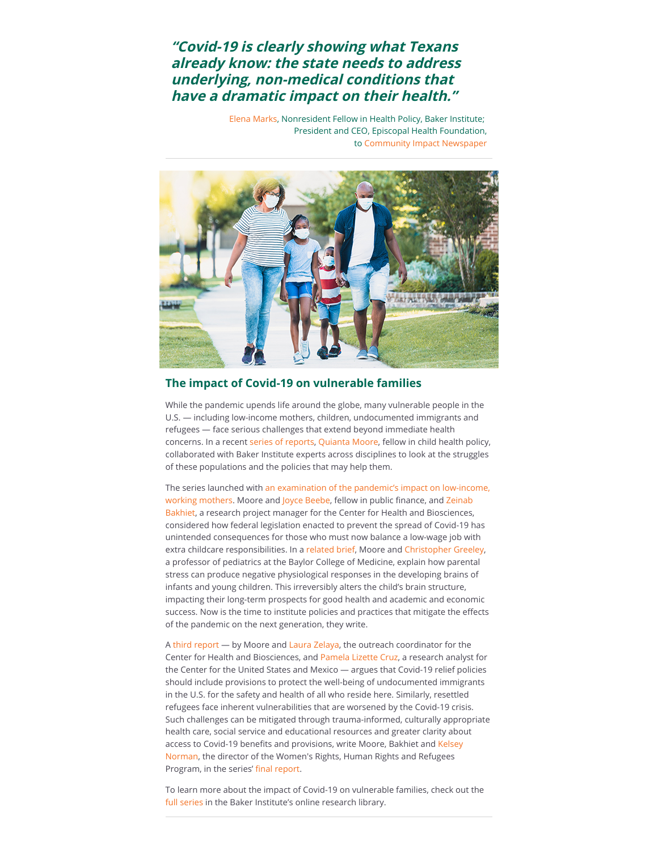# **"Covid-19 is clearly showing what Texans already know: the state needs to address underlying, non-medical conditions that have a dramatic impact on their health."**

[Elena Marks,](https://riceconnect.rice.edu/page.redir?target=https%3a%2f%2fwww.bakerinstitute.org%2fexperts%2felena-m-marks%2f&srcid=144126&srctid=1&erid=8197c2a1-876e-48bd-a4d1-0d9ffd87d404&trid=8197c2a1-876e-48bd-a4d1-0d9ffd87d404) Nonresident Fellow in Health Policy, Baker Institute; President and CEO, Episcopal Health Foundation, to [Community Impact Newspaper](https://riceconnect.rice.edu/page.redir?target=https%3a%2f%2fcommunityimpact.com%2fhouston%2fbellaire-meyerland-west-university%2fhealth-care%2f2020%2f07%2f02%2fsurvey-texans-support-emphasis-on-improving-economy-safety-pollution-to-address-overall-health%2f&srcid=144126&srctid=1&erid=8197c2a1-876e-48bd-a4d1-0d9ffd87d404&trid=8197c2a1-876e-48bd-a4d1-0d9ffd87d404)



## **The impact of Covid-19 on vulnerable families**

While the pandemic upends life around the globe, many vulnerable people in the U.S. — including low-income mothers, children, undocumented immigrants and refugees — face serious challenges that extend beyond immediate health concerns. In a recent [series of reports,](https://riceconnect.rice.edu/page.redir?target=https%3a%2f%2fwww.bakerinstitute.org%2fresearch%2fimpact-covid-19-vulnerable-families%2f&srcid=144126&srctid=1&erid=8197c2a1-876e-48bd-a4d1-0d9ffd87d404&trid=8197c2a1-876e-48bd-a4d1-0d9ffd87d404) [Quianta Moore](https://riceconnect.rice.edu/page.redir?target=https%3a%2f%2fwww.bakerinstitute.org%2fexperts%2fquianta-moore%2f&srcid=144126&srctid=1&erid=8197c2a1-876e-48bd-a4d1-0d9ffd87d404&trid=8197c2a1-876e-48bd-a4d1-0d9ffd87d404), fellow in child health policy, collaborated with Baker Institute experts across disciplines to look at the struggles of these populations and the policies that may help them.

[The series launched with an examination of the pandemic's impact on low-income,](https://riceconnect.rice.edu/page.redir?target=https%3a%2f%2fwww.bakerinstitute.org%2fresearch%2fhidden-figures%2f&srcid=144126&srctid=1&erid=8197c2a1-876e-48bd-a4d1-0d9ffd87d404&trid=8197c2a1-876e-48bd-a4d1-0d9ffd87d404) [working mothers. Moore and](https://riceconnect.rice.edu/page.redir?target=https%3a%2f%2fwww.bakerinstitute.org%2fexperts%2fzeinab-bakhiet%2f&srcid=144126&srctid=1&erid=8197c2a1-876e-48bd-a4d1-0d9ffd87d404&trid=8197c2a1-876e-48bd-a4d1-0d9ffd87d404) [Joyce Beeb](https://riceconnect.rice.edu/page.redir?target=https%3a%2f%2fwww.bakerinstitute.org%2fexperts%2fjoyce-beebe%2f&srcid=144126&srctid=1&erid=8197c2a1-876e-48bd-a4d1-0d9ffd87d404&trid=8197c2a1-876e-48bd-a4d1-0d9ffd87d404)e, fellow in public finance, and Zeinab Bakhiet, a research project manager for the Center for Health and Biosciences, considered how federal legislation enacted to prevent the spread of Covid-19 has unintended consequences for those who must now balance a low-wage job with extra childcare responsibilities. In a [related brief](https://riceconnect.rice.edu/page.redir?target=https%3a%2f%2fwww.bakerinstitute.org%2fresearch%2famericas-children-responding-to-the-crisis-now-with-the-future-in-mind%2f&srcid=144126&srctid=1&erid=8197c2a1-876e-48bd-a4d1-0d9ffd87d404&trid=8197c2a1-876e-48bd-a4d1-0d9ffd87d404), Moore and [Christopher Greeley,](https://riceconnect.rice.edu/page.redir?target=https%3a%2f%2fwww.bcm.edu%2fpeople-search%2fchristopher-greeley-22183&srcid=144126&srctid=1&erid=8197c2a1-876e-48bd-a4d1-0d9ffd87d404&trid=8197c2a1-876e-48bd-a4d1-0d9ffd87d404) a professor of pediatrics at the Baylor College of Medicine, explain how parental stress can produce negative physiological responses in the developing brains of infants and young children. This irreversibly alters the child's brain structure, impacting their long-term prospects for good health and academic and economic success. Now is the time to institute policies and practices that mitigate the effects of the pandemic on the next generation, they write.

A [third report](https://riceconnect.rice.edu/page.redir?target=https%3a%2f%2fwww.bakerinstitute.org%2fresearch%2fundocumented-and-unprotected-health-challenges-immigrants-during-covid-19-pandemic%2f&srcid=144126&srctid=1&erid=8197c2a1-876e-48bd-a4d1-0d9ffd87d404&trid=8197c2a1-876e-48bd-a4d1-0d9ffd87d404) — by Moore and [Laura Zelaya,](https://riceconnect.rice.edu/page.redir?target=https%3a%2f%2fwww.bakerinstitute.org%2fexperts%2flaura-zelaya%2f&srcid=144126&srctid=1&erid=8197c2a1-876e-48bd-a4d1-0d9ffd87d404&trid=8197c2a1-876e-48bd-a4d1-0d9ffd87d404) the outreach coordinator for the Center for Health and Biosciences, and [Pamela Lizette Cruz](https://riceconnect.rice.edu/page.redir?target=https%3a%2f%2fwww.bakerinstitute.org%2fexperts%2fpamela-lizette-cruz%2f&srcid=144126&srctid=1&erid=8197c2a1-876e-48bd-a4d1-0d9ffd87d404&trid=8197c2a1-876e-48bd-a4d1-0d9ffd87d404), a research analyst for the Center for the United States and Mexico — argues that Covid-19 relief policies should include provisions to protect the well-being of undocumented immigrants in the U.S. for the safety and health of all who reside here. Similarly, resettled refugees face inherent vulnerabilities that are worsened by the Covid-19 crisis. Such challenges can be mitigated through trauma-informed, culturally appropriate health care, social service and educational resources and greater clarity about access to Covid-19 benefits and provisions, write Moore, Bakhiet and Kelsey Norman, the director of the Women's Rights, Human Rights and Refugees Program, in the series' fi[nal report.](https://riceconnect.rice.edu/page.redir?target=https%3a%2f%2fwww.bakerinstitute.org%2fresearch%2fbuilding-new-life-uncertain-times-impact-covid-19-refugees-us%2f&srcid=144126&srctid=1&erid=8197c2a1-876e-48bd-a4d1-0d9ffd87d404&trid=8197c2a1-876e-48bd-a4d1-0d9ffd87d404)

To learn more about the impact of Covid-19 on vulnerable families, check out the [full series](https://riceconnect.rice.edu/page.redir?target=https%3a%2f%2fwww.bakerinstitute.org%2fresearch%2fimpact-covid-19-vulnerable-families%2f&srcid=144126&srctid=1&erid=8197c2a1-876e-48bd-a4d1-0d9ffd87d404&trid=8197c2a1-876e-48bd-a4d1-0d9ffd87d404) in the Baker Institute's online research library.